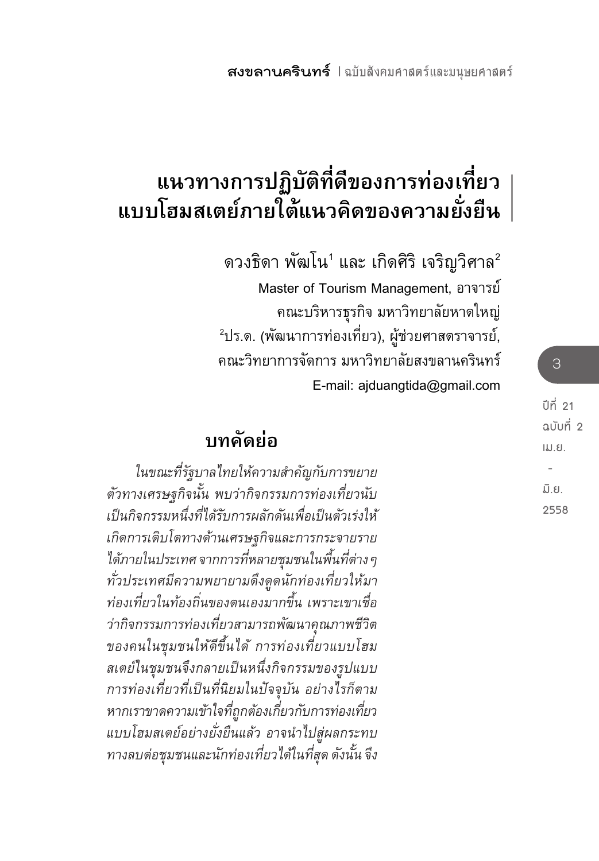# **แนวทางการปฏิบัติที่ดีของการท่องเที่ยว แบบโฮมสเตย์ภายใต้แนวคิดของความยั่งยืน**

ดวงธิดา พัฒโน $^{\rm 1}$  และ เกิดศิริ เจริญวิศาล $^{\rm 2}$  Master of Tourism Management, อาจารย์ คณะบริหารธุรกิจ มหาวิทยาลัยหาดใหญ่ <sup>2</sup>ปร.ด. (พัฒนาการท่องเที่ยว), ผู้ช่วยศาสตราจารย์, คณะวิทยาการจัดการ มหาวิทยาลัยสงขลานครินทร์ E-mail: ajduangtida@gmail.com

## **บทคัดย่อ**

*ในขณะที่รัฐบาลไทยให้ความส�ำคัญกับการขยาย ตัวทางเศรษฐกิจนั้น พบว่ากิจกรรมการท่องเที่ยวนับ เป็นกิจกรรมหนึ่งที่ได้รับการผลักดันเพื่อเป็นตัวเร่งให้ เกิดการเติบโตทางด้านเศรษฐกิจและการกระจายราย ได้ภายในประเทศ จากการที่หลายชุมชนในพื้นที่ต่างๆ ทั่วประเทศมีความพยายามดึงดูดนักท่องเที่ยวให้มา ท่องเที่ยวในท้องถิ่นของตนเองมากขึ้น เพราะเขาเชื่อ ว่ากิจกรรมการท่องเที่ยวสามารถพัฒนาคุณภาพชีวิต ของคนในชุมชนให้ดีขึ้นได้ การท่องเที่ยวแบบโฮม สเตย์ในชุมชนจึงกลายเป็นหนึ่งกิจกรรมของรูปแบบ การท่องเที่ยวที่เป็นที่นิยมในปัจจุบัน อย่างไรก็ตาม หากเราขาดความเข้าใจที่ถูกต้องเกี่ยวกับการท่องเที่ยว แบบโฮมสเตย์อย่างยั่งยืนแล้ว อาจน�ำไปสู่ผลกระทบ ทางลบต่อชุมชนและนักท่องเที่ยวได้ในที่สุด ดังนั้น จึง*

**ปีที่ 21 ฉบับที่ 2 เม.ย. - มิ.ย. 2558**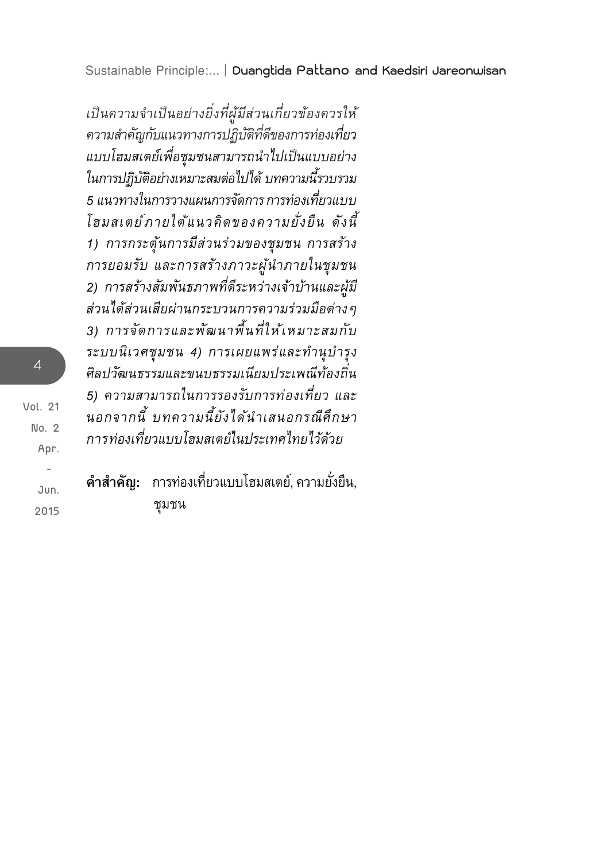*เป็นความจ�ำเป็นอย่างยิ่งที่ผู้มีส่วนเกี่ยวข้องควรให้ ความส�ำคัญกับแนวทางการปฏิบัติที่ดีของการท่องเที่ยว แบบโฮมสเตย์เพื่อชุมชนสามารถน�ำไปเป็นแบบอย่าง ในการปฏิบัติอย่างเหมาะสมต่อไปได้ บทความนี้รวบรวม 5 แนวทางในการวางแผนการจัดการ การท่องเที่ยวแบบ โฮมสเตย์ภายใต้แนวคิดของความยั่งยืน ดังนี้ 1) การกระตุ้นการมีส่วนร่วมของชุมชน การสร้าง การยอมรับ และการสร้างภาวะผู้น�ำภายในชุมชน 2) การสร้างสัมพันธภาพที่ดีระหว่างเจ้าบ้านและผู้มี ส่วนได้ส่วนเสียผ่านกระบวนการความร่วมมือต่างๆ 3) การจัดการและพัฒนาพื้นที่ให้เหมาะสมกับ ระบบนิเวศชุมชน 4) การเผยแพร่และท�ำนุบ�ำรุง ศิลปวัฒนธรรมและขนบธรรมเนียมประเพณีท้องถิ่น 5) ความสามารถในการรองรับการท่องเที่ยว และ นอกจากนี้ บทความนี้ยังได้น�ำเสนอกรณีศึกษา การท่องเที่ยวแบบโฮมสเตย์ในประเทศไทยไว้ด้วย*

**ค�ำส�ำคัญ:** การท่องเที่ยวแบบโฮมสเตย์, ความยั่งยืน, ชุมชน

**Vol. 21 No. 2 Apr. -** 

 **Jun. 2015**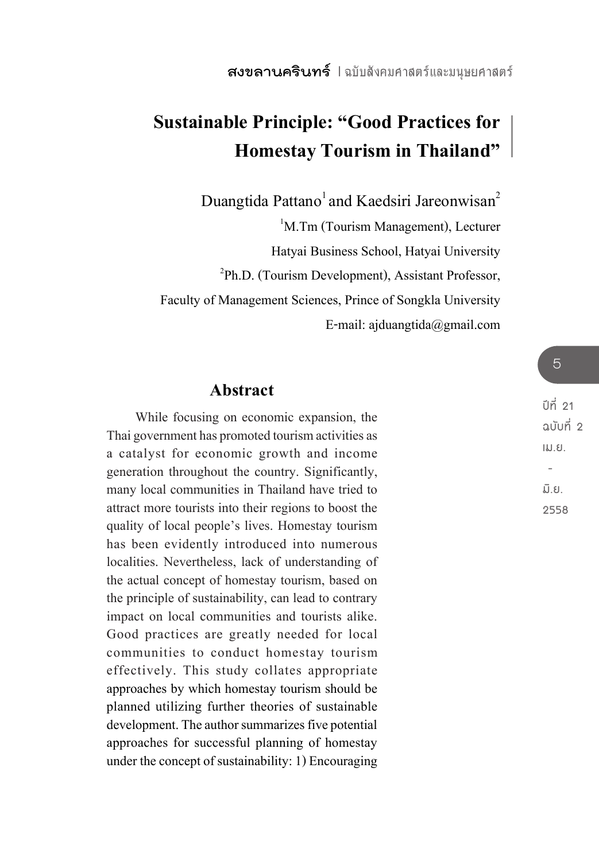## **Sustainable Principle: "Good Practices for Homestay Tourism in Thailand"**

Duangtida Pattano<sup>1</sup> and Kaedsiri Jareonwisan<sup>2</sup>

<sup>1</sup>M.Tm (Tourism Management), Lecturer

Hatyai Business School, Hatyai University

2 Ph.D. (Tourism Development), Assistant Professor,

Faculty of Management Sciences, Prince of Songkla University

E-mail: ajduangtida@gmail.com

### **Abstract**

While focusing on economic expansion, the Thai government has promoted tourism activities as a catalyst for economic growth and income generation throughout the country. Significantly, many local communities in Thailand have tried to attract more tourists into their regions to boost the quality of local people's lives. Homestay tourism has been evidently introduced into numerous localities. Nevertheless, lack of understanding of the actual concept of homestay tourism, based on the principle of sustainability, can lead to contrary impact on local communities and tourists alike. Good practices are greatly needed for local communities to conduct homestay tourism effectively. This study collates appropriate approaches by which homestay tourism should be planned utilizing further theories of sustainable development. The author summarizes five potential approaches for successful planning of homestay under the concept of sustainability: 1) Encouraging

**2558**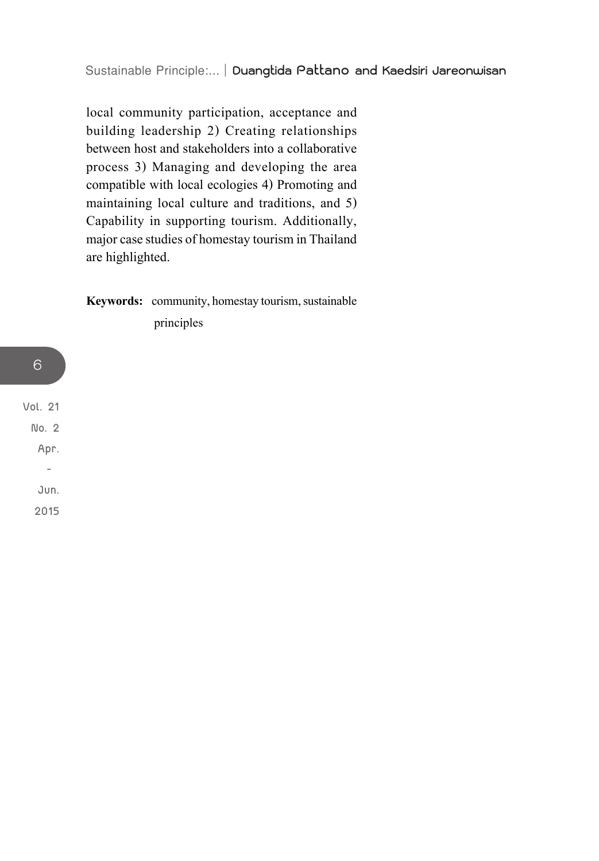local community participation, acceptance and building leadership 2) Creating relationships between host and stakeholders into a collaborative process 3) Managing and developing the area compatible with local ecologies 4) Promoting and maintaining local culture and traditions, and 5) Capability in supporting tourism. Additionally, major case studies of homestay tourism in Thailand are highlighted.

**Keywords:** community, homestay tourism, sustainable principles

**Vol. 21 No. 2 Apr. - Jun. 2015**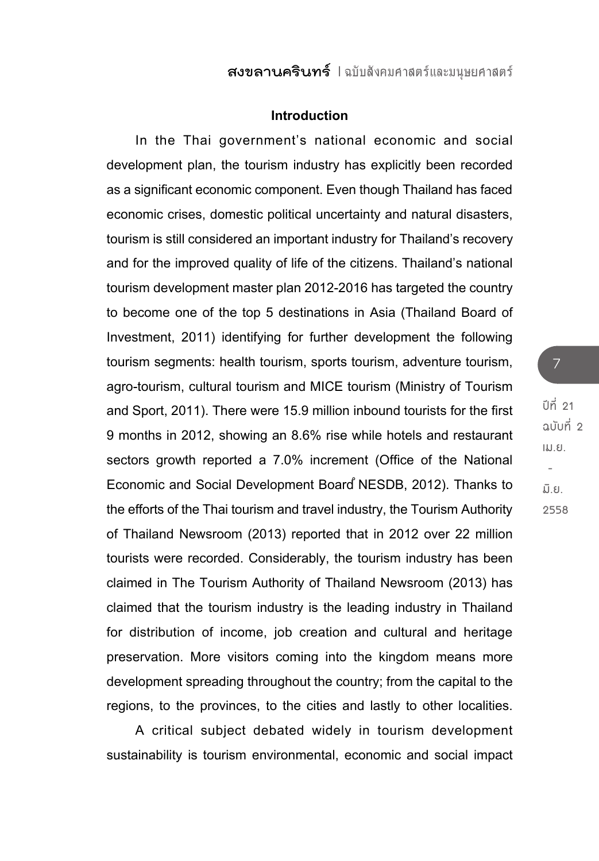### **Introduction**

In the Thai government's national economic and social development plan, the tourism industry has explicitly been recorded as a significant economic component. Even though Thailand has faced economic crises, domestic political uncertainty and natural disasters, tourism is still considered an important industry for Thailand's recovery and for the improved quality of life of the citizens. Thailand's national tourism development master plan 2012-2016 has targeted the country to become one of the top 5 destinations in Asia (Thailand Board of Investment, 2011) identifying for further development the following tourism segments: health tourism, sports tourism, adventure tourism, agro-tourism, cultural tourism and MICE tourism (Ministry of Tourism and Sport, 2011). There were 15.9 million inbound tourists for the first 9 months in 2012, showing an 8.6% rise while hotels and restaurant sectors growth reported a 7.0% increment (Office of the National Economic and Social Development Board NESDB, 2012). Thanks to the efforts of the Thai tourism and travel industry, the Tourism Authority of Thailand Newsroom (2013) reported that in 2012 over 22 million tourists were recorded. Considerably, the tourism industry has been claimed in The Tourism Authority of Thailand Newsroom (2013) has claimed that the tourism industry is the leading industry in Thailand for distribution of income, job creation and cultural and heritage preservation. More visitors coming into the kingdom means more development spreading throughout the country; from the capital to the regions, to the provinces, to the cities and lastly to other localities.

A critical subject debated widely in tourism development sustainability is tourism environmental, economic and social impact

**ปีที่ 21 ฉบับที่ 2 เม.ย. - มิ.ย. 2558**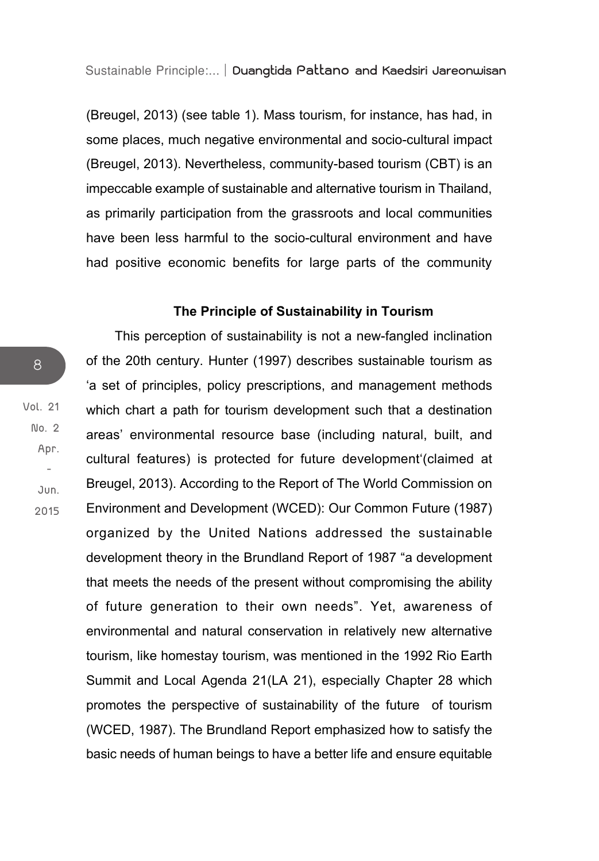(Breugel, 2013) (see table 1). Mass tourism, for instance, has had, in some places, much negative environmental and socio-cultural impact (Breugel, 2013). Nevertheless, community-based tourism (CBT) is an impeccable example of sustainable and alternative tourism in Thailand, as primarily participation from the grassroots and local communities have been less harmful to the socio-cultural environment and have had positive economic benefits for large parts of the community

### **The Principle of Sustainability in Tourism**

This perception of sustainability is not a new-fangled inclination of the 20th century. Hunter (1997) describes sustainable tourism as 'a set of principles, policy prescriptions, and management methods which chart a path for tourism development such that a destination areas' environmental resource base (including natural, built, and cultural features) is protected for future development'(claimed at Breugel, 2013). According to the Report of The World Commission on Environment and Development (WCED): Our Common Future (1987) organized by the United Nations addressed the sustainable development theory in the Brundland Report of 1987 "a development that meets the needs of the present without compromising the ability of future generation to their own needs". Yet, awareness of environmental and natural conservation in relatively new alternative tourism, like homestay tourism, was mentioned in the 1992 Rio Earth Summit and Local Agenda 21(LA 21), especially Chapter 28 which promotes the perspective of sustainability of the future of tourism (WCED, 1987). The Brundland Report emphasized how to satisfy the basic needs of human beings to have a better life and ensure equitable

**Vol. 21 No. 2 Apr. - Jun. 2015**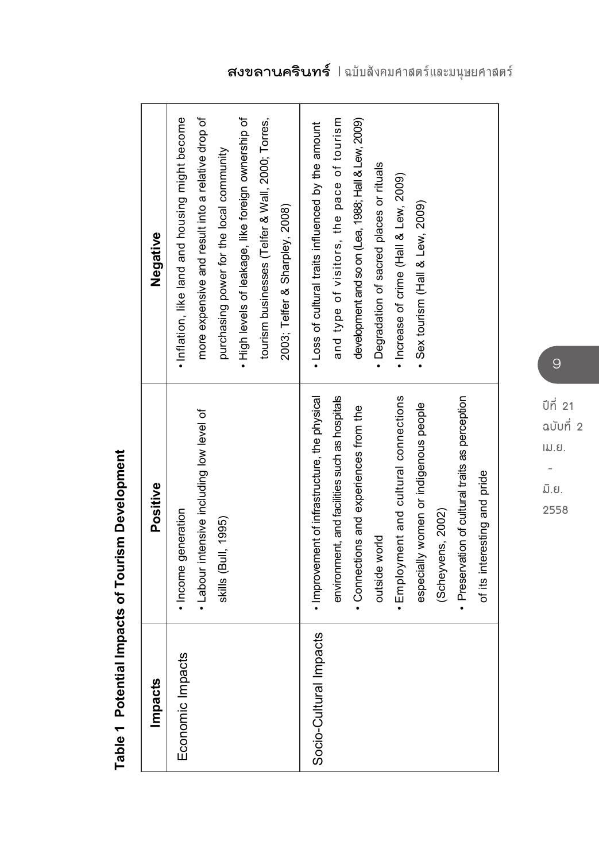| Impacts                | Positive                                                         | Negative                                                                                      |
|------------------------|------------------------------------------------------------------|-----------------------------------------------------------------------------------------------|
| Economic Impacts       | · Income generation                                              | . Inflation, like land and housing might become                                               |
|                        | • Labour intensive including low level of<br>skills (Bull, 1995) | more expensive and result into a relative drop of<br>purchasing power for the local community |
|                        |                                                                  | • High levels of leakage, like foreign ownership of                                           |
|                        |                                                                  | tourism businesses (Telfer & Wall, 2000; Torres,                                              |
|                        |                                                                  | 2003; Telfer & Sharpley, 2008)                                                                |
| Socio-Cultural Impacts | · Improvement of infrastructure, the physical                    | . Loss of cultural traits influenced by the amount                                            |
|                        | environment, and facilities such as hospitals                    | and type of visitors, the pace of tourism                                                     |
|                        | • Connections and experiences from the                           | development and so on (Lea, 1988; Hall & Lew, 2009)                                           |
|                        | outside world                                                    | • Degradation of sacred places or rituals                                                     |
|                        | · Employment and cultural connections                            | · Increase of crime (Hall & Lew, 2009)                                                        |
|                        | especially women or indigenous people                            | · Sex tourism (Hall & Lew, 2009)                                                              |
|                        | (Scheyvens, 2002)                                                |                                                                                               |
|                        | · Preservation of cultural traits as perception                  |                                                                                               |
|                        | of its interesting and pride                                     |                                                                                               |

Table 1 Potential Impacts of Tourism Development **Table 1 Potential Impacts of Tourism Development**

**ปีที่ 21 ฉบับที่ 2 เม.ย. -**

**มิ.ย. 2558**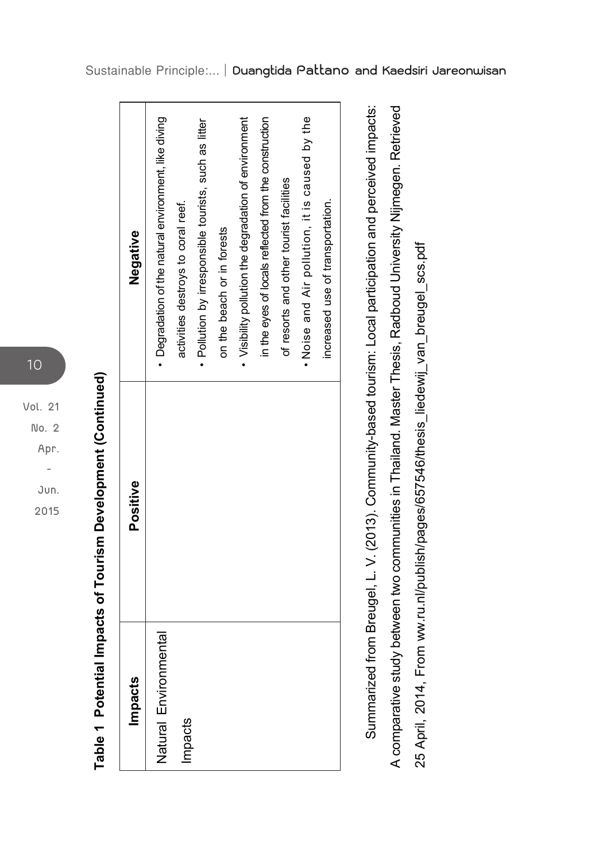**Vol. 21 No. 2 Apr. - Jun. 2015**

10

Table 1 Potential Impacts of Tourism Development (Continued) **Table 1 Potential Impacts of Tourism Development (Continued)**

| Impacts               | Positive | Negative                                              |
|-----------------------|----------|-------------------------------------------------------|
| Natural Environmental |          | • Degradation of the natural environment, like diving |
| Impacts               |          | activities destroys to coral reef.                    |
|                       |          | · Pollution by irresponsible tourists, such as litter |
|                       |          | on the beach or in forests                            |
|                       |          | • Visibility pollution the degradation of environment |
|                       |          | in the eyes of locals reflected from the construction |
|                       |          | of resorts and other tourist facilities               |
|                       |          | . Noise and Air pollution, it is caused by the        |
|                       |          | increased use of transportation.                      |

Summarized from Breugel, L. V. (2013). Community-based tourism: Local participation and perceived impacts: A comparative study between two communities in Thailand. Master Thesis, Radboud University Nijmegen. Retrieved Summarized from Breugel, L. V. (2013). Community-based tourism: Local participation and perceived impacts: A comparative study between two communities in Thailand. Master Thesis, Radboud University Nijmegen. Retrieved 25 April, 2014, From ww.ru.nl/publish/pages/657546/thesis\_liedewij\_van\_breugel\_scs.pdf 25 April, 2014, From ww.ru.nl/publish/pages/657546/thesis\_liedewij\_van\_breugel\_scs.pdf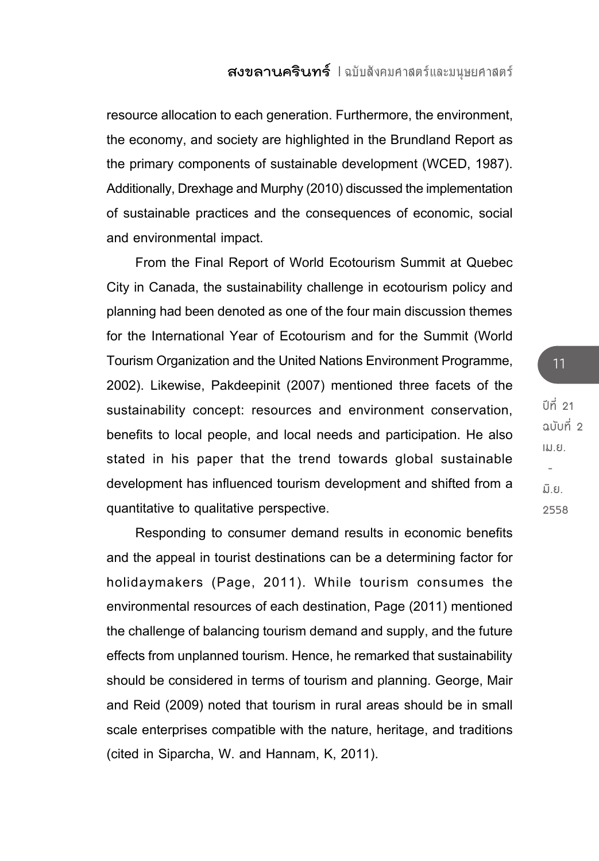resource allocation to each generation. Furthermore, the environment, the economy, and society are highlighted in the Brundland Report as the primary components of sustainable development (WCED, 1987). Additionally, Drexhage and Murphy (2010) discussed the implementation of sustainable practices and the consequences of economic, social and environmental impact.

From the Final Report of World Ecotourism Summit at Quebec City in Canada, the sustainability challenge in ecotourism policy and planning had been denoted as one of the four main discussion themes for the International Year of Ecotourism and for the Summit (World Tourism Organization and the United Nations Environment Programme, 2002). Likewise, Pakdeepinit (2007) mentioned three facets of the sustainability concept: resources and environment conservation, benefits to local people, and local needs and participation. He also stated in his paper that the trend towards global sustainable development has influenced tourism development and shifted from a quantitative to qualitative perspective.

Responding to consumer demand results in economic benefits and the appeal in tourist destinations can be a determining factor for holidaymakers (Page, 2011). While tourism consumes the environmental resources of each destination, Page (2011) mentioned the challenge of balancing tourism demand and supply, and the future effects from unplanned tourism. Hence, he remarked that sustainability should be considered in terms of tourism and planning. George, Mair and Reid (2009) noted that tourism in rural areas should be in small scale enterprises compatible with the nature, heritage, and traditions (cited in Siparcha, W. and Hannam, K, 2011).

**ปีที่ 21 ฉบับที่ 2 เม.ย. - มิ.ย. 2558**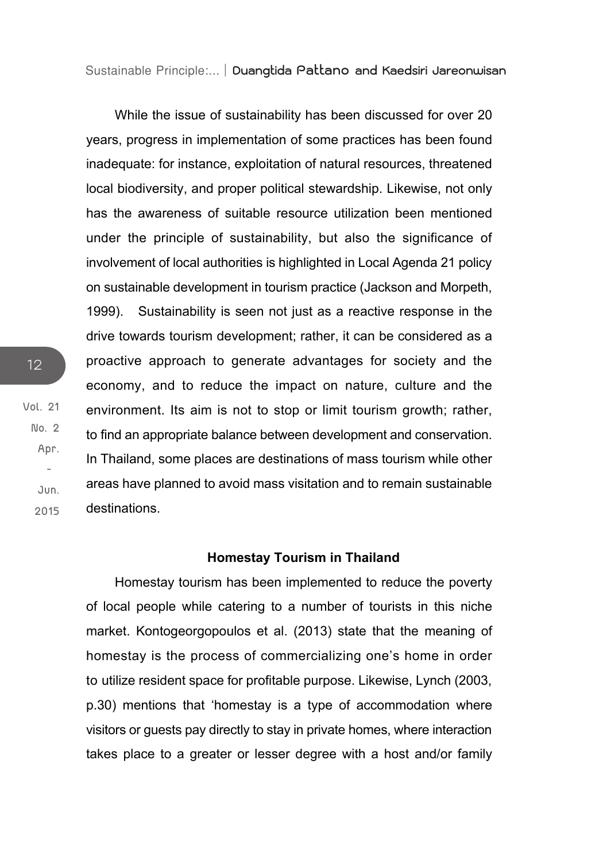While the issue of sustainability has been discussed for over 20 years, progress in implementation of some practices has been found inadequate: for instance, exploitation of natural resources, threatened local biodiversity, and proper political stewardship. Likewise, not only has the awareness of suitable resource utilization been mentioned under the principle of sustainability, but also the significance of involvement of local authorities is highlighted in Local Agenda 21 policy on sustainable development in tourism practice (Jackson and Morpeth, 1999). Sustainability is seen not just as a reactive response in the drive towards tourism development; rather, it can be considered as a proactive approach to generate advantages for society and the economy, and to reduce the impact on nature, culture and the environment. Its aim is not to stop or limit tourism growth: rather. to find an appropriate balance between development and conservation. In Thailand, some places are destinations of mass tourism while other areas have planned to avoid mass visitation and to remain sustainable destinations.

### **Homestay Tourism in Thailand**

Homestay tourism has been implemented to reduce the poverty of local people while catering to a number of tourists in this niche market. Kontogeorgopoulos et al. (2013) state that the meaning of homestay is the process of commercializing one's home in order to utilize resident space for profitable purpose. Likewise, Lynch (2003, p.30) mentions that 'homestay is a type of accommodation where visitors or guests pay directly to stay in private homes, where interaction takes place to a greater or lesser degree with a host and/or family

**Vol. 21 No. 2**

12

 **Jun. 2015**

 **Apr. -**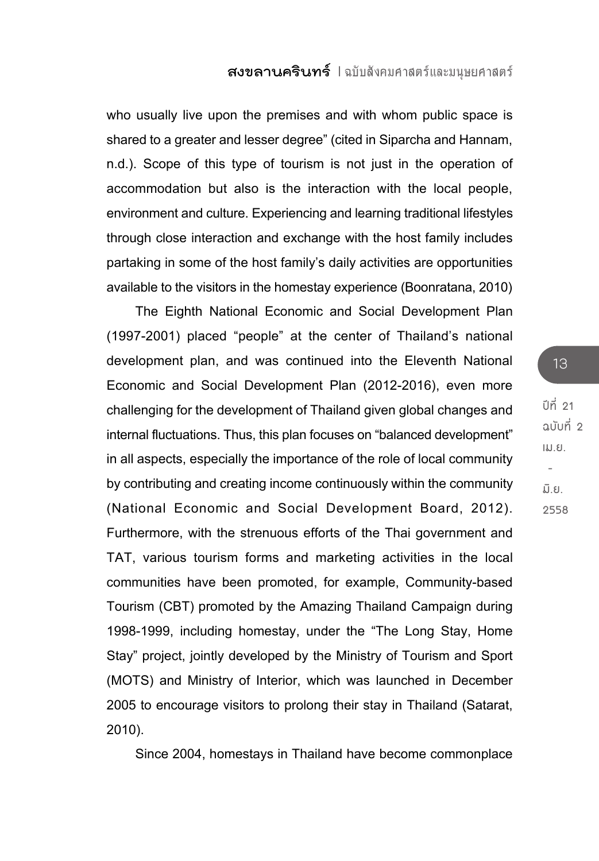who usually live upon the premises and with whom public space is shared to a greater and lesser degree" (cited in Siparcha and Hannam, n.d.). Scope of this type of tourism is not just in the operation of accommodation but also is the interaction with the local people, environment and culture. Experiencing and learning traditional lifestyles through close interaction and exchange with the host family includes partaking in some of the host family's daily activities are opportunities available to the visitors in the homestay experience (Boonratana, 2010)

The Eighth National Economic and Social Development Plan (1997-2001) placed "people" at the center of Thailand's national development plan, and was continued into the Eleventh National Economic and Social Development Plan (2012-2016), even more challenging for the development of Thailand given global changes and internal fluctuations. Thus, this plan focuses on "balanced development" in all aspects, especially the importance of the role of local community by contributing and creating income continuously within the community (National Economic and Social Development Board, 2012). Furthermore, with the strenuous efforts of the Thai government and TAT, various tourism forms and marketing activities in the local communities have been promoted, for example, Community-based Tourism (CBT) promoted by the Amazing Thailand Campaign during 1998-1999, including homestay, under the "The Long Stay, Home Stay" project, jointly developed by the Ministry of Tourism and Sport (MOTS) and Ministry of Interior, which was launched in December 2005 to encourage visitors to prolong their stay in Thailand (Satarat, 2010).

Since 2004, homestays in Thailand have become commonplace

**ปีที่ 21 ฉบับที่ 2 เม.ย. - มิ.ย. 2558**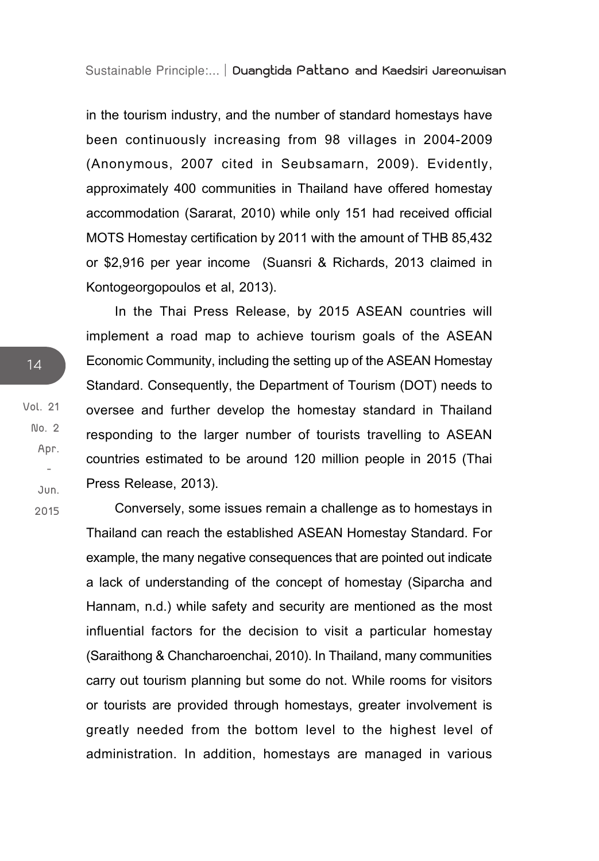in the tourism industry, and the number of standard homestays have been continuously increasing from 98 villages in 2004-2009 (Anonymous, 2007 cited in Seubsamarn, 2009). Evidently, approximately 400 communities in Thailand have offered homestay accommodation (Sararat, 2010) while only 151 had received official MOTS Homestay certification by 2011 with the amount of THB 85,432 or \$2,916 per year income (Suansri & Richards, 2013 claimed in Kontogeorgopoulos et al, 2013).

In the Thai Press Release, by 2015 ASEAN countries will implement a road map to achieve tourism goals of the ASEAN Economic Community, including the setting up of the ASEAN Homestay Standard. Consequently, the Department of Tourism (DOT) needs to oversee and further develop the homestay standard in Thailand responding to the larger number of tourists travelling to ASEAN countries estimated to be around 120 million people in 2015 (Thai Press Release, 2013).

Conversely, some issues remain a challenge as to homestays in Thailand can reach the established ASEAN Homestay Standard. For example, the many negative consequences that are pointed out indicate a lack of understanding of the concept of homestay (Siparcha and Hannam, n.d.) while safety and security are mentioned as the most influential factors for the decision to visit a particular homestay (Saraithong & Chancharoenchai, 2010). In Thailand, many communities carry out tourism planning but some do not. While rooms for visitors or tourists are provided through homestays, greater involvement is greatly needed from the bottom level to the highest level of administration. In addition, homestays are managed in various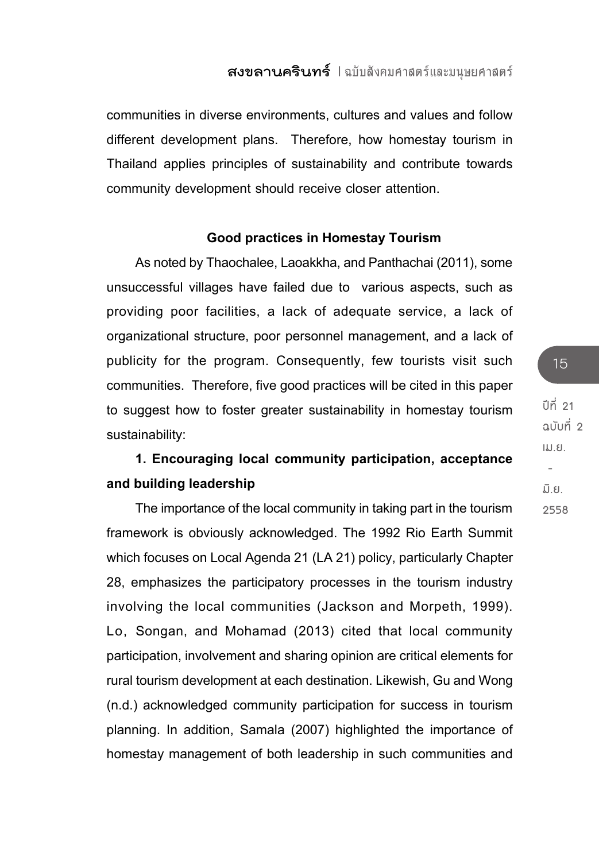communities in diverse environments, cultures and values and follow different development plans. Therefore, how homestay tourism in Thailand applies principles of sustainability and contribute towards community development should receive closer attention.

### **Good practices in Homestay Tourism**

As noted by Thaochalee, Laoakkha, and Panthachai (2011), some unsuccessful villages have failed due to various aspects, such as providing poor facilities, a lack of adequate service, a lack of organizational structure, poor personnel management, and a lack of publicity for the program. Consequently, few tourists visit such communities. Therefore, five good practices will be cited in this paper to suggest how to foster greater sustainability in homestay tourism sustainability:

## **1. Encouraging local community participation, acceptance and building leadership**

The importance of the local community in taking part in the tourism framework is obviously acknowledged. The 1992 Rio Earth Summit which focuses on Local Agenda 21 (LA 21) policy, particularly Chapter 28, emphasizes the participatory processes in the tourism industry involving the local communities (Jackson and Morpeth, 1999). Lo, Songan, and Mohamad (2013) cited that local community participation, involvement and sharing opinion are critical elements for rural tourism development at each destination. Likewish, Gu and Wong (n.d.) acknowledged community participation for success in tourism planning. In addition, Samala (2007) highlighted the importance of homestay management of both leadership in such communities and

**ปีที่ 21 ฉบับที่ 2 เม.ย. - มิ.ย. 2558**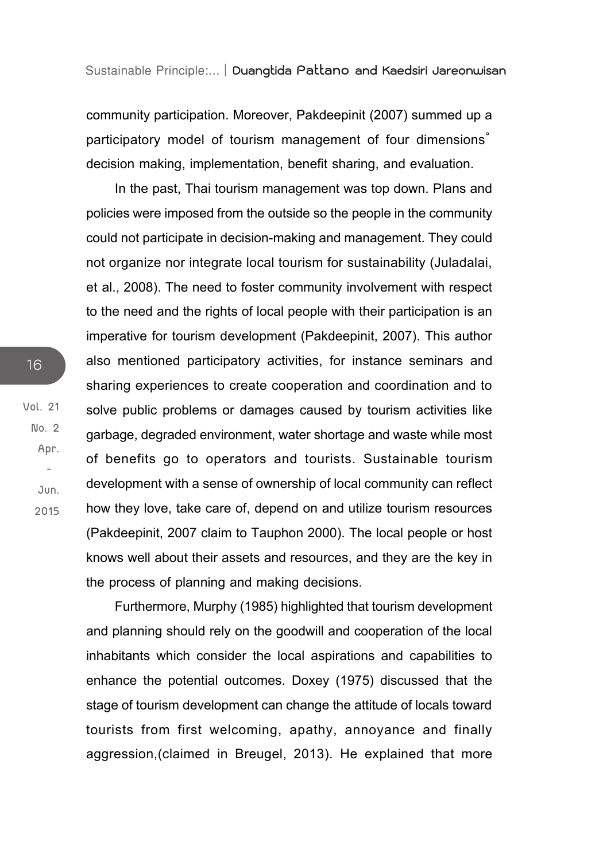community participation. Moreover, Pakdeepinit (2007) summed up a participatory model of tourism management of four dimensions<sup>®</sup> decision making, implementation, benefit sharing, and evaluation.

In the past, Thai tourism management was top down. Plans and policies were imposed from the outside so the people in the community could not participate in decision-making and management. They could not organize nor integrate local tourism for sustainability (Juladalai, et al., 2008). The need to foster community involvement with respect to the need and the rights of local people with their participation is an imperative for tourism development (Pakdeepinit, 2007). This author also mentioned participatory activities, for instance seminars and sharing experiences to create cooperation and coordination and to solve public problems or damages caused by tourism activities like garbage, degraded environment, water shortage and waste while most of benefits go to operators and tourists. Sustainable tourism development with a sense of ownership of local community can reflect how they love, take care of, depend on and utilize tourism resources (Pakdeepinit, 2007 claim to Tauphon 2000). The local people or host knows well about their assets and resources, and they are the key in the process of planning and making decisions.

Furthermore, Murphy (1985) highlighted that tourism development and planning should rely on the goodwill and cooperation of the local inhabitants which consider the local aspirations and capabilities to enhance the potential outcomes. Doxey (1975) discussed that the stage of tourism development can change the attitude of locals toward tourists from first welcoming, apathy, annoyance and finally aggression,(claimed in Breugel, 2013). He explained that more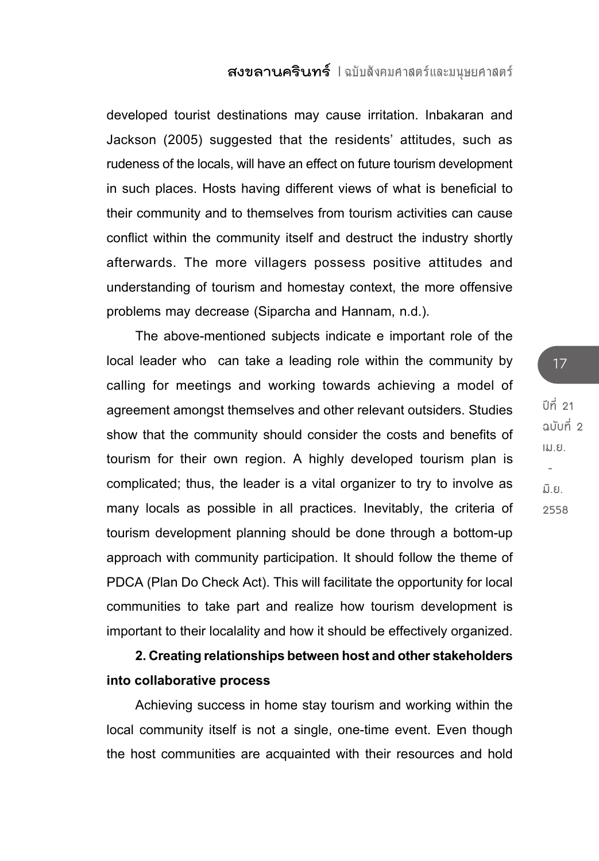developed tourist destinations may cause irritation. Inbakaran and Jackson (2005) suggested that the residents' attitudes, such as rudeness of the locals, will have an effect on future tourism development in such places. Hosts having different views of what is beneficial to their community and to themselves from tourism activities can cause conflict within the community itself and destruct the industry shortly afterwards. The more villagers possess positive attitudes and understanding of tourism and homestay context, the more offensive problems may decrease (Siparcha and Hannam, n.d.).

The above-mentioned subjects indicate e important role of the local leader who can take a leading role within the community by calling for meetings and working towards achieving a model of agreement amongst themselves and other relevant outsiders. Studies show that the community should consider the costs and benefits of tourism for their own region. A highly developed tourism plan is complicated; thus, the leader is a vital organizer to try to involve as many locals as possible in all practices. Inevitably, the criteria of tourism development planning should be done through a bottom-up approach with community participation. It should follow the theme of PDCA (Plan Do Check Act). This will facilitate the opportunity for local communities to take part and realize how tourism development is important to their localality and how it should be effectively organized.

**2. Creating relationships between host and other stakeholders into collaborative process** 

Achieving success in home stay tourism and working within the local community itself is not a single, one-time event. Even though the host communities are acquainted with their resources and hold **ปีที่ 21 ฉบับที่ 2 เม.ย. - มิ.ย. 2558**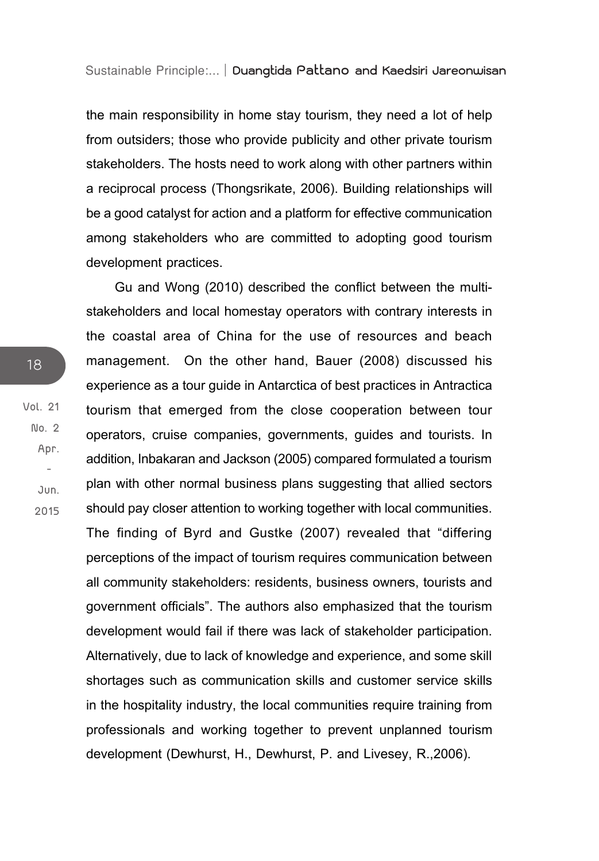the main responsibility in home stay tourism, they need a lot of help from outsiders; those who provide publicity and other private tourism stakeholders. The hosts need to work along with other partners within a reciprocal process (Thongsrikate, 2006). Building relationships will be a good catalyst for action and a platform for effective communication among stakeholders who are committed to adopting good tourism development practices.

Gu and Wong (2010) described the conflict between the multistakeholders and local homestay operators with contrary interests in the coastal area of China for the use of resources and beach management. On the other hand, Bauer (2008) discussed his experience as a tour guide in Antarctica of best practices in Antractica tourism that emerged from the close cooperation between tour operators, cruise companies, governments, guides and tourists. In addition, Inbakaran and Jackson (2005) compared formulated a tourism plan with other normal business plans suggesting that allied sectors should pay closer attention to working together with local communities. The finding of Byrd and Gustke (2007) revealed that "differing perceptions of the impact of tourism requires communication between all community stakeholders: residents, business owners, tourists and government officials". The authors also emphasized that the tourism development would fail if there was lack of stakeholder participation. Alternatively, due to lack of knowledge and experience, and some skill shortages such as communication skills and customer service skills in the hospitality industry, the local communities require training from professionals and working together to prevent unplanned tourism development (Dewhurst, H., Dewhurst, P. and Livesey, R.,2006).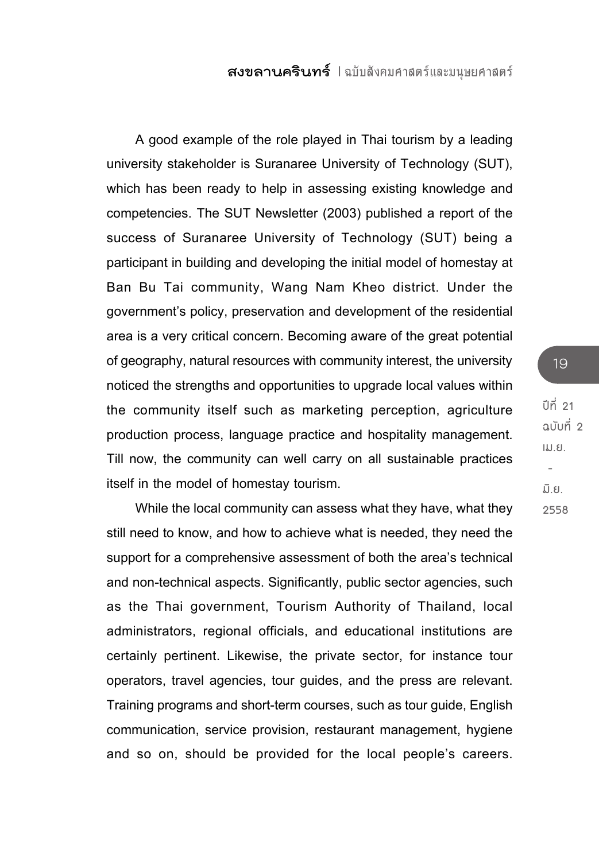A good example of the role played in Thai tourism by a leading university stakeholder is Suranaree University of Technology (SUT), which has been ready to help in assessing existing knowledge and competencies. The SUT Newsletter (2003) published a report of the success of Suranaree University of Technology (SUT) being a participant in building and developing the initial model of homestay at Ban Bu Tai community, Wang Nam Kheo district. Under the government's policy, preservation and development of the residential area is a very critical concern. Becoming aware of the great potential of geography, natural resources with community interest, the university noticed the strengths and opportunities to upgrade local values within the community itself such as marketing perception, agriculture production process, language practice and hospitality management. Till now, the community can well carry on all sustainable practices itself in the model of homestay tourism.

While the local community can assess what they have, what they still need to know, and how to achieve what is needed, they need the support for a comprehensive assessment of both the area's technical and non-technical aspects. Significantly, public sector agencies, such as the Thai government, Tourism Authority of Thailand, local administrators, regional officials, and educational institutions are certainly pertinent. Likewise, the private sector, for instance tour operators, travel agencies, tour guides, and the press are relevant. Training programs and short-term courses, such as tour guide, English communication, service provision, restaurant management, hygiene and so on, should be provided for the local people's careers.

## **ปีที่ 21 ฉบับที่ 2 เม.ย. - มิ.ย. 2558**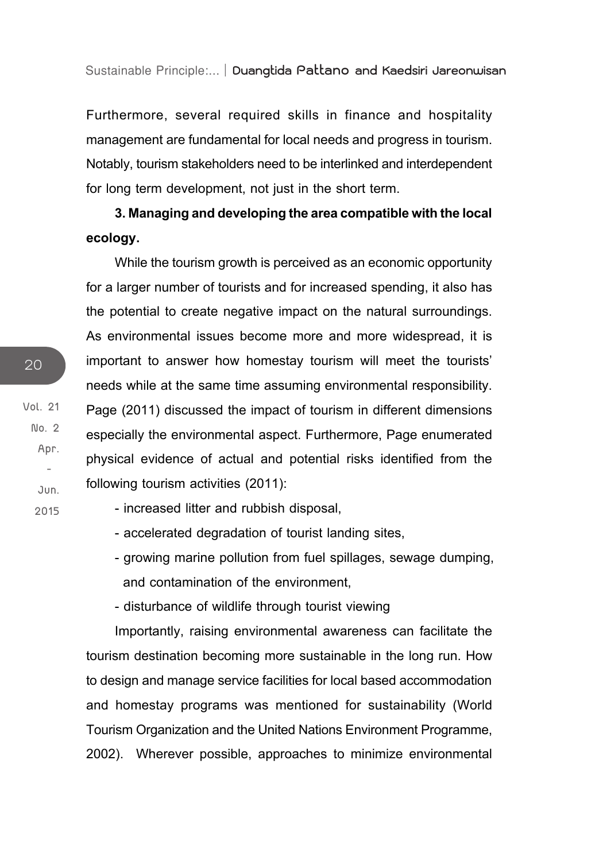Furthermore, several required skills in finance and hospitality management are fundamental for local needs and progress in tourism. Notably, tourism stakeholders need to be interlinked and interdependent for long term development, not just in the short term.

**3. Managing and developing the area compatible with the local ecology.**

While the tourism growth is perceived as an economic opportunity for a larger number of tourists and for increased spending, it also has the potential to create negative impact on the natural surroundings. As environmental issues become more and more widespread, it is important to answer how homestay tourism will meet the tourists' needs while at the same time assuming environmental responsibility. Page (2011) discussed the impact of tourism in different dimensions especially the environmental aspect. Furthermore, Page enumerated physical evidence of actual and potential risks identified from the following tourism activities (2011):

- increased litter and rubbish disposal,

- accelerated degradation of tourist landing sites,
- growing marine pollution from fuel spillages, sewage dumping, and contamination of the environment,

- disturbance of wildlife through tourist viewing

Importantly, raising environmental awareness can facilitate the tourism destination becoming more sustainable in the long run. How to design and manage service facilities for local based accommodation and homestay programs was mentioned for sustainability (World Tourism Organization and the United Nations Environment Programme, 2002). Wherever possible, approaches to minimize environmental

**Vol. 21 No. 2 Apr. - Jun.**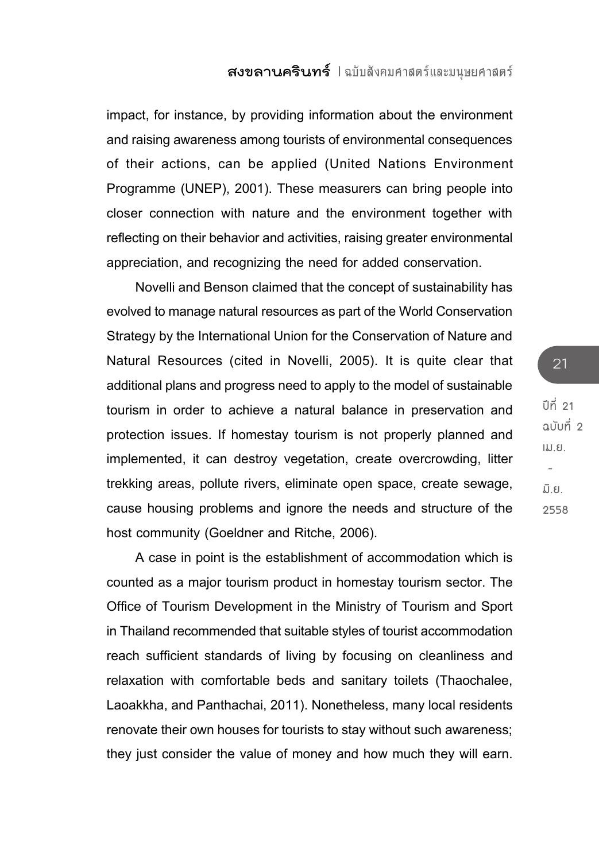impact, for instance, by providing information about the environment and raising awareness among tourists of environmental consequences of their actions, can be applied (United Nations Environment Programme (UNEP), 2001). These measurers can bring people into closer connection with nature and the environment together with reflecting on their behavior and activities, raising greater environmental appreciation, and recognizing the need for added conservation.

Novelli and Benson claimed that the concept of sustainability has evolved to manage natural resources as part of the World Conservation Strategy by the International Union for the Conservation of Nature and Natural Resources (cited in Novelli, 2005). It is quite clear that additional plans and progress need to apply to the model of sustainable tourism in order to achieve a natural balance in preservation and protection issues. If homestay tourism is not properly planned and implemented, it can destroy vegetation, create overcrowding, litter trekking areas, pollute rivers, eliminate open space, create sewage, cause housing problems and ignore the needs and structure of the host community (Goeldner and Ritche, 2006).

A case in point is the establishment of accommodation which is counted as a major tourism product in homestay tourism sector. The Office of Tourism Development in the Ministry of Tourism and Sport in Thailand recommended that suitable styles of tourist accommodation reach sufficient standards of living by focusing on cleanliness and relaxation with comfortable beds and sanitary toilets (Thaochalee, Laoakkha, and Panthachai, 2011). Nonetheless, many local residents renovate their own houses for tourists to stay without such awareness; they just consider the value of money and how much they will earn.

**ปีที่ 21 ฉบับที่ 2 เม.ย. - มิ.ย. 2558**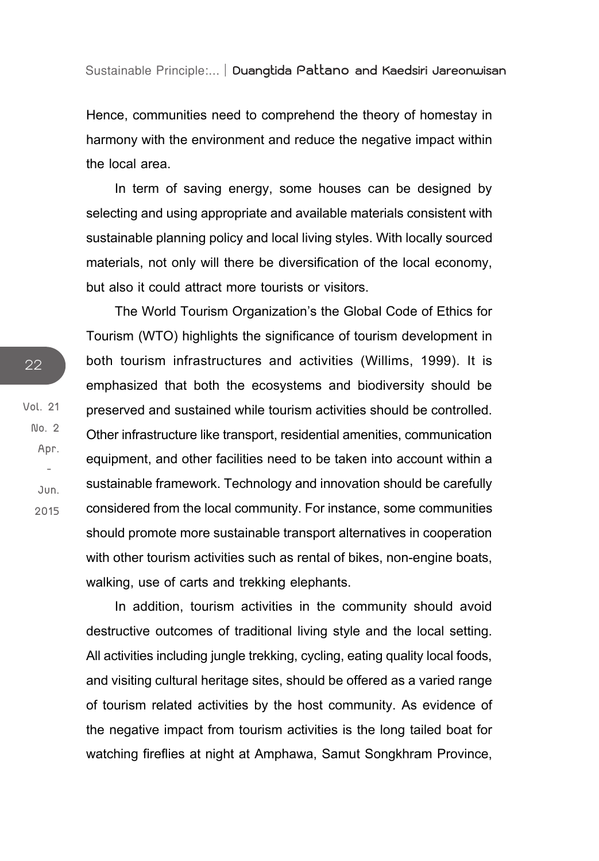Hence, communities need to comprehend the theory of homestay in harmony with the environment and reduce the negative impact within the local area.

In term of saving energy, some houses can be designed by selecting and using appropriate and available materials consistent with sustainable planning policy and local living styles. With locally sourced materials, not only will there be diversification of the local economy, but also it could attract more tourists or visitors.

The World Tourism Organization's the Global Code of Ethics for Tourism (WTO) highlights the significance of tourism development in both tourism infrastructures and activities (Willims, 1999). It is emphasized that both the ecosystems and biodiversity should be preserved and sustained while tourism activities should be controlled. Other infrastructure like transport, residential amenities, communication equipment, and other facilities need to be taken into account within a sustainable framework. Technology and innovation should be carefully considered from the local community. For instance, some communities should promote more sustainable transport alternatives in cooperation with other tourism activities such as rental of bikes, non-engine boats, walking, use of carts and trekking elephants.

In addition, tourism activities in the community should avoid destructive outcomes of traditional living style and the local setting. All activities including jungle trekking, cycling, eating quality local foods, and visiting cultural heritage sites, should be offered as a varied range of tourism related activities by the host community. As evidence of the negative impact from tourism activities is the long tailed boat for watching fireflies at night at Amphawa, Samut Songkhram Province,

**Vol. 21 No. 2 Apr. - Jun. 2015**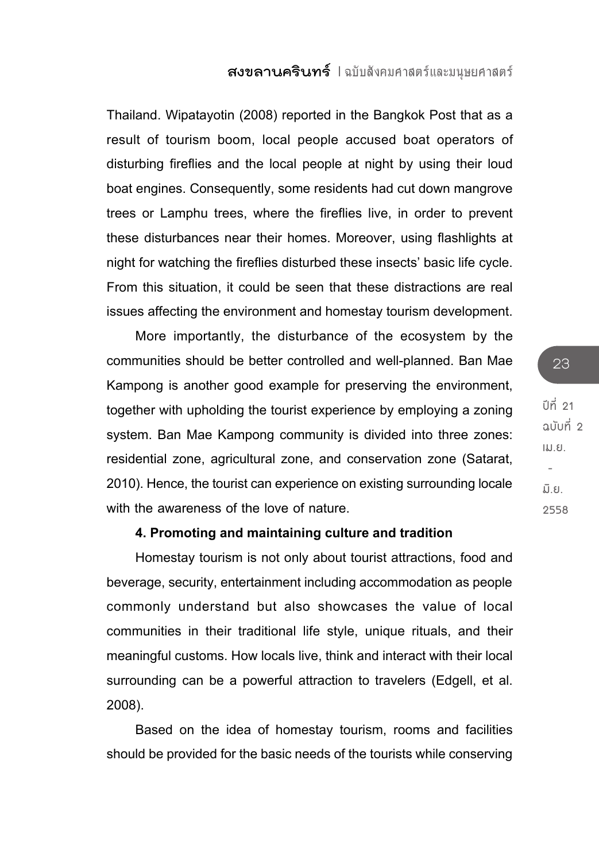Thailand. Wipatayotin (2008) reported in the Bangkok Post that as a result of tourism boom, local people accused boat operators of disturbing fireflies and the local people at night by using their loud boat engines. Consequently, some residents had cut down mangrove trees or Lamphu trees, where the fireflies live, in order to prevent these disturbances near their homes. Moreover, using flashlights at night for watching the fireflies disturbed these insects' basic life cycle. From this situation, it could be seen that these distractions are real issues affecting the environment and homestay tourism development.

More importantly, the disturbance of the ecosystem by the communities should be better controlled and well-planned. Ban Mae Kampong is another good example for preserving the environment, together with upholding the tourist experience by employing a zoning system. Ban Mae Kampong community is divided into three zones: residential zone, agricultural zone, and conservation zone (Satarat, 2010). Hence, the tourist can experience on existing surrounding locale with the awareness of the love of nature.

### **4. Promoting and maintaining culture and tradition**

Homestay tourism is not only about tourist attractions, food and beverage, security, entertainment including accommodation as people commonly understand but also showcases the value of local communities in their traditional life style, unique rituals, and their meaningful customs. How locals live, think and interact with their local surrounding can be a powerful attraction to travelers (Edgell, et al. 2008).

Based on the idea of homestay tourism, rooms and facilities should be provided for the basic needs of the tourists while conserving **ปีที่ 21 ฉบับที่ 2 เม.ย. - มิ.ย. 2558**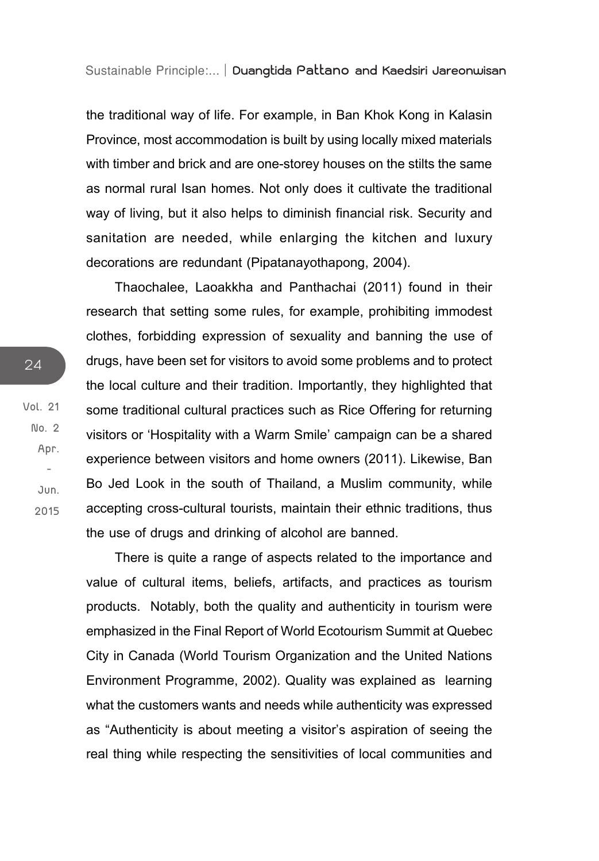the traditional way of life. For example, in Ban Khok Kong in Kalasin Province, most accommodation is built by using locally mixed materials with timber and brick and are one-storey houses on the stilts the same as normal rural Isan homes. Not only does it cultivate the traditional way of living, but it also helps to diminish financial risk. Security and sanitation are needed, while enlarging the kitchen and luxury decorations are redundant (Pipatanayothapong, 2004).

Thaochalee, Laoakkha and Panthachai (2011) found in their research that setting some rules, for example, prohibiting immodest clothes, forbidding expression of sexuality and banning the use of drugs, have been set for visitors to avoid some problems and to protect the local culture and their tradition. Importantly, they highlighted that some traditional cultural practices such as Rice Offering for returning visitors or 'Hospitality with a Warm Smile' campaign can be a shared experience between visitors and home owners (2011). Likewise, Ban Bo Jed Look in the south of Thailand, a Muslim community, while accepting cross-cultural tourists, maintain their ethnic traditions, thus the use of drugs and drinking of alcohol are banned.

There is quite a range of aspects related to the importance and value of cultural items, beliefs, artifacts, and practices as tourism products. Notably, both the quality and authenticity in tourism were emphasized in the Final Report of World Ecotourism Summit at Quebec City in Canada (World Tourism Organization and the United Nations Environment Programme, 2002). Quality was explained as learning what the customers wants and needs while authenticity was expressed as "Authenticity is about meeting a visitor's aspiration of seeing the real thing while respecting the sensitivities of local communities and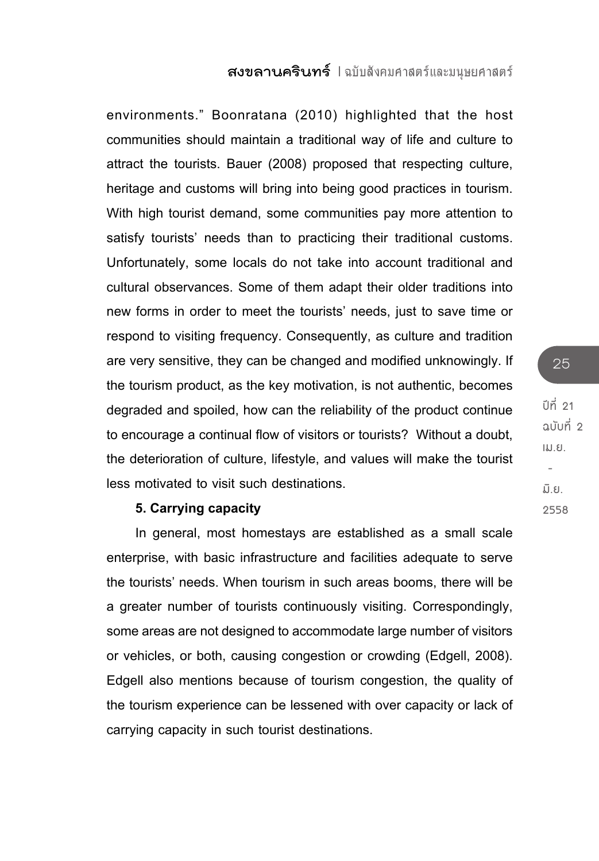environments." Boonratana (2010) highlighted that the host communities should maintain a traditional way of life and culture to attract the tourists. Bauer (2008) proposed that respecting culture, heritage and customs will bring into being good practices in tourism. With high tourist demand, some communities pay more attention to satisfy tourists' needs than to practicing their traditional customs. Unfortunately, some locals do not take into account traditional and cultural observances. Some of them adapt their older traditions into new forms in order to meet the tourists' needs, just to save time or respond to visiting frequency. Consequently, as culture and tradition are very sensitive, they can be changed and modified unknowingly. If the tourism product, as the key motivation, is not authentic, becomes degraded and spoiled, how can the reliability of the product continue to encourage a continual flow of visitors or tourists? Without a doubt, the deterioration of culture, lifestyle, and values will make the tourist less motivated to visit such destinations.

#### **5. Carrying capacity**

In general, most homestays are established as a small scale enterprise, with basic infrastructure and facilities adequate to serve the tourists' needs. When tourism in such areas booms, there will be a greater number of tourists continuously visiting. Correspondingly, some areas are not designed to accommodate large number of visitors or vehicles, or both, causing congestion or crowding (Edgell, 2008). Edgell also mentions because of tourism congestion, the quality of the tourism experience can be lessened with over capacity or lack of carrying capacity in such tourist destinations.

**ปีที่ 21 ฉบับที่ 2 เม.ย. - มิ.ย. 2558**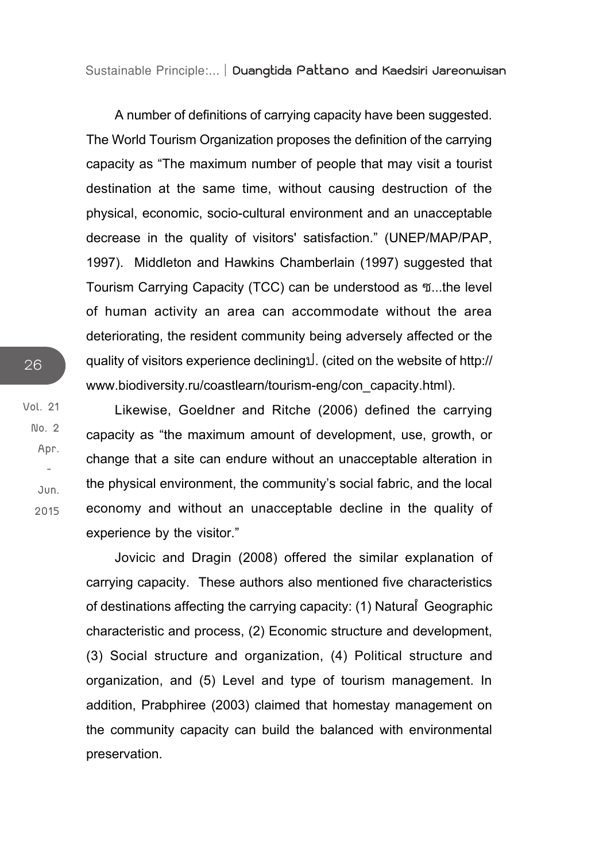A number of definitions of carrying capacity have been suggested. The World Tourism Organization proposes the definition of the carrying capacity as "The maximum number of people that may visit a tourist destination at the same time, without causing destruction of the physical, economic, socio-cultural environment and an unacceptable decrease in the quality of visitors' satisfaction." (UNEP/MAP/PAP, 1997). Middleton and Hawkins Chamberlain (1997) suggested that Tourism Carrying Capacity (TCC) can be understood as  $\mathfrak{N}$ ...the level of human activity an area can accommodate without the area deteriorating, the resident community being adversely affected or the quality of visitors experience declinings. (cited on the website of http:// www.biodiversity.ru/coastlearn/tourism-eng/con\_capacity.html).

Likewise, Goeldner and Ritche (2006) defined the carrying capacity as "the maximum amount of development, use, growth, or change that a site can endure without an unacceptable alteration in the physical environment, the community's social fabric, and the local economy and without an unacceptable decline in the quality of experience by the visitor."

Jovicic and Dragin (2008) offered the similar explanation of carrying capacity. These authors also mentioned five characteristics of destinations affecting the carrying capacity: (1) Natural Geographic characteristic and process, (2) Economic structure and development, (3) Social structure and organization, (4) Political structure and organization, and (5) Level and type of tourism management. In addition, Prabphiree (2003) claimed that homestay management on the community capacity can build the balanced with environmental preservation.

**Vol. 21**

**No. 2 Apr. - Jun. 2015**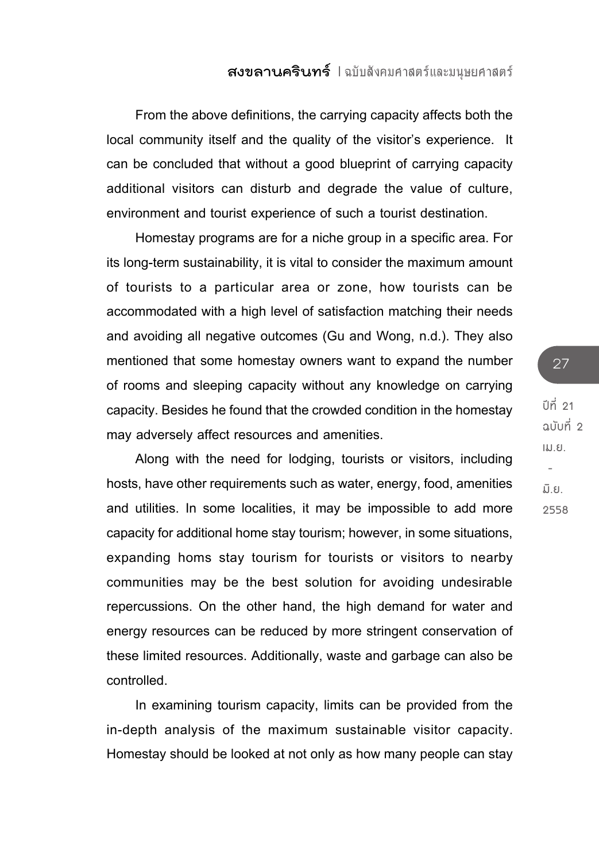From the above definitions, the carrying capacity affects both the local community itself and the quality of the visitor's experience. It can be concluded that without a good blueprint of carrying capacity additional visitors can disturb and degrade the value of culture, environment and tourist experience of such a tourist destination.

Homestay programs are for a niche group in a specific area. For its long-term sustainability, it is vital to consider the maximum amount of tourists to a particular area or zone, how tourists can be accommodated with a high level of satisfaction matching their needs and avoiding all negative outcomes (Gu and Wong, n.d.). They also mentioned that some homestay owners want to expand the number of rooms and sleeping capacity without any knowledge on carrying capacity. Besides he found that the crowded condition in the homestay may adversely affect resources and amenities.

Along with the need for lodging, tourists or visitors, including hosts, have other requirements such as water, energy, food, amenities and utilities. In some localities, it may be impossible to add more capacity for additional home stay tourism; however, in some situations, expanding homs stay tourism for tourists or visitors to nearby communities may be the best solution for avoiding undesirable repercussions. On the other hand, the high demand for water and energy resources can be reduced by more stringent conservation of these limited resources. Additionally, waste and garbage can also be controlled.

In examining tourism capacity, limits can be provided from the in-depth analysis of the maximum sustainable visitor capacity. Homestay should be looked at not only as how many people can stay

**ปีที่ 21 ฉบับที่ 2 เม.ย. - มิ.ย. 2558**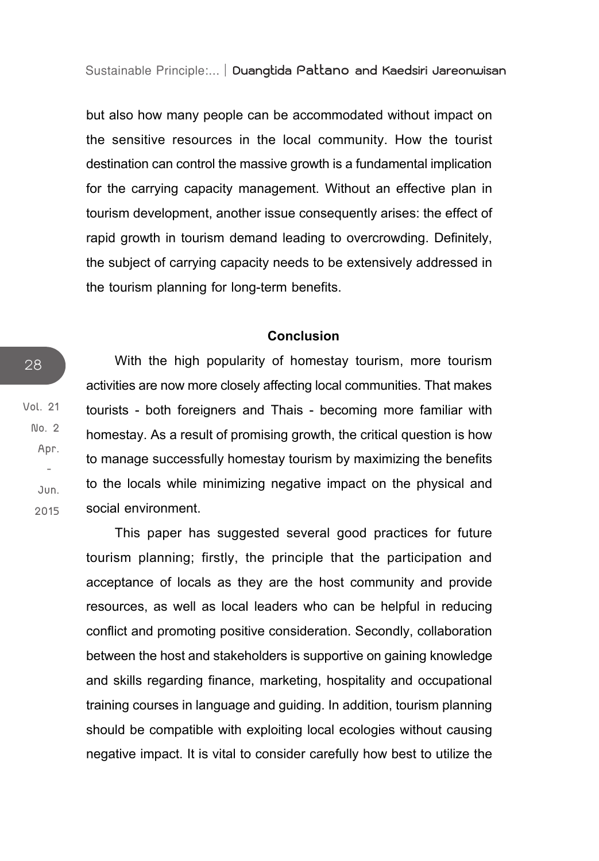but also how many people can be accommodated without impact on the sensitive resources in the local community. How the tourist destination can control the massive growth is a fundamental implication for the carrying capacity management. Without an effective plan in tourism development, another issue consequently arises: the effect of rapid growth in tourism demand leading to overcrowding. Definitely, the subject of carrying capacity needs to be extensively addressed in the tourism planning for long-term benefits.

#### **Conclusion**

With the high popularity of homestay tourism, more tourism activities are now more closely affecting local communities. That makes tourists - both foreigners and Thais - becoming more familiar with homestay. As a result of promising growth, the critical question is how to manage successfully homestay tourism by maximizing the benefits to the locals while minimizing negative impact on the physical and social environment.

This paper has suggested several good practices for future tourism planning; firstly, the principle that the participation and acceptance of locals as they are the host community and provide resources, as well as local leaders who can be helpful in reducing conflict and promoting positive consideration. Secondly, collaboration between the host and stakeholders is supportive on gaining knowledge and skills regarding finance, marketing, hospitality and occupational training courses in language and guiding. In addition, tourism planning should be compatible with exploiting local ecologies without causing negative impact. It is vital to consider carefully how best to utilize the

**Vol. 21 No. 2 Apr. - Jun. 2015**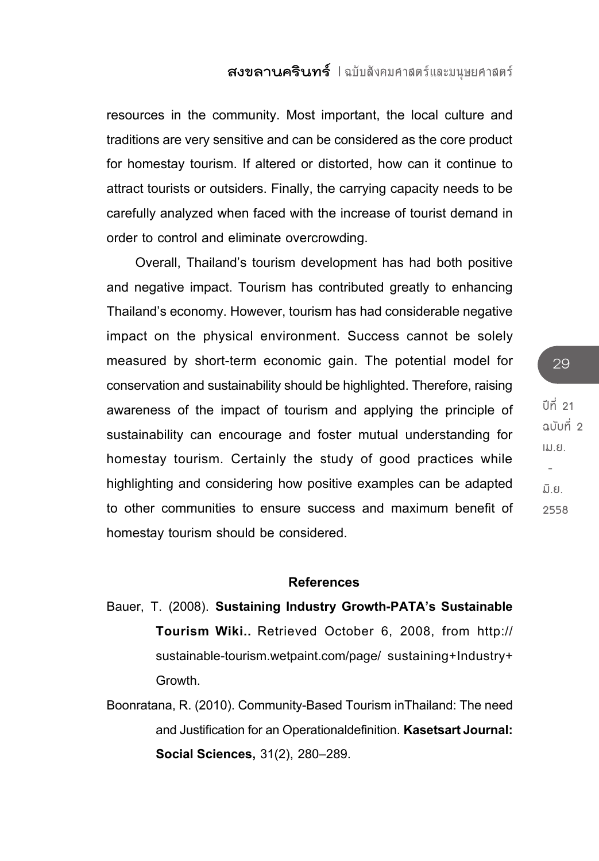resources in the community. Most important, the local culture and traditions are very sensitive and can be considered as the core product for homestay tourism. If altered or distorted, how can it continue to attract tourists or outsiders. Finally, the carrying capacity needs to be carefully analyzed when faced with the increase of tourist demand in order to control and eliminate overcrowding.

Overall, Thailand's tourism development has had both positive and negative impact. Tourism has contributed greatly to enhancing Thailand's economy. However, tourism has had considerable negative impact on the physical environment. Success cannot be solely measured by short-term economic gain. The potential model for conservation and sustainability should be highlighted. Therefore, raising awareness of the impact of tourism and applying the principle of sustainability can encourage and foster mutual understanding for homestay tourism. Certainly the study of good practices while highlighting and considering how positive examples can be adapted to other communities to ensure success and maximum benefit of homestay tourism should be considered.

#### **References**

- Bauer, T. (2008). **Sustaining Industry Growth-PATA's Sustainable Tourism Wiki..** Retrieved October 6, 2008, from http:// sustainable-tourism.wetpaint.com/page/ sustaining+Industry+ Growth.
- Boonratana, R. (2010). Community-Based Tourism inThailand: The need and Justification for an Operationaldefinition. **Kasetsart Journal: Social Sciences,** 31(2), 280–289.

**ปีที่ 21 ฉบับที่ 2 เม.ย. - มิ.ย. 2558**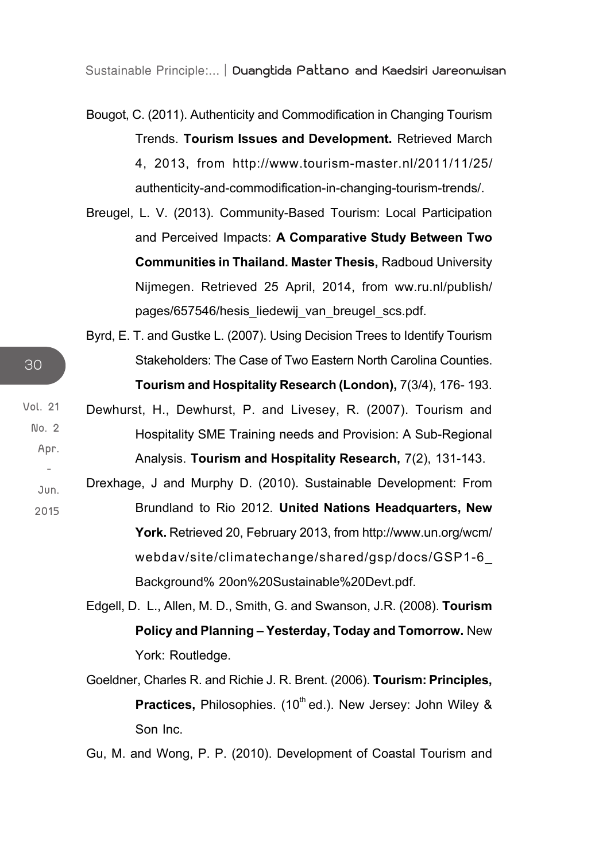Bougot, C. (2011). Authenticity and Commodification in Changing Tourism Trends. **Tourism Issues and Development.** Retrieved March 4, 2013, from http://www.tourism-master.nl/2011/11/25/ authenticity-and-commodification-in-changing-tourism-trends/.

- Breugel, L. V. (2013). Community-Based Tourism: Local Participation and Perceived Impacts: **A Comparative Study Between Two Communities in Thailand. Master Thesis,** Radboud University Nijmegen. Retrieved 25 April, 2014, from ww.ru.nl/publish/ pages/657546/hesis\_liedewij\_van\_breugel\_scs.pdf.
- Byrd, E. T. and Gustke L. (2007). Using Decision Trees to Identify Tourism Stakeholders: The Case of Two Eastern North Carolina Counties. **Tourism and Hospitality Research (London),** 7(3/4), 176- 193.
- **Vol. 21** Dewhurst, H., Dewhurst, P. and Livesey, R. (2007). Tourism and Hospitality SME Training needs and Provision: A Sub-Regional Analysis. **Tourism and Hospitality Research,** 7(2), 131-143.
	- **Jun. 2015** Drexhage, J and Murphy D. (2010). Sustainable Development: From Brundland to Rio 2012. **United Nations Headquarters, New York.** Retrieved 20, February 2013, from http://www.un.org/wcm/ webdav/site/climatechange/shared/gsp/docs/GSP1-6\_ Background% 20on%20Sustainable%20Devt.pdf.
		- Edgell, D. L., Allen, M. D., Smith, G. and Swanson, J.R. (2008). **Tourism Policy and Planning – Yesterday, Today and Tomorrow.** New York: Routledge.
		- Goeldner, Charles R. and Richie J. R. Brent. (2006). **Tourism: Principles, Practices, Philosophies.** (10<sup>th</sup> ed.). New Jersey: John Wiley & Son Inc.

Gu, M. and Wong, P. P. (2010). Development of Coastal Tourism and

**No. 2 Apr. -**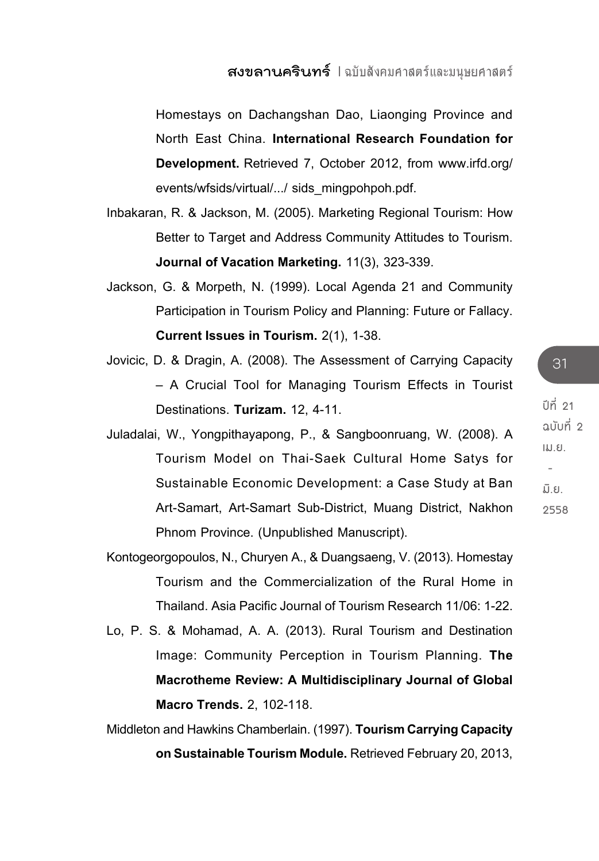Homestays on Dachangshan Dao, Liaonging Province and North East China. **International Research Foundation for Development.** Retrieved 7, October 2012, from www.irfd.org/ events/wfsids/virtual/.../ sids\_mingpohpoh.pdf.

- Inbakaran, R. & Jackson, M. (2005). Marketing Regional Tourism: How Better to Target and Address Community Attitudes to Tourism. **Journal of Vacation Marketing.** 11(3), 323-339.
- Jackson, G. & Morpeth, N. (1999). Local Agenda 21 and Community Participation in Tourism Policy and Planning: Future or Fallacy. **Current Issues in Tourism.** 2(1), 1-38.
- Jovicic, D. & Dragin, A. (2008). The Assessment of Carrying Capacity – A Crucial Tool for Managing Tourism Effects in Tourist Destinations. **Turizam.** 12, 4-11.
- Juladalai, W., Yongpithayapong, P., & Sangboonruang, W. (2008). A Tourism Model on Thai-Saek Cultural Home Satys for Sustainable Economic Development: a Case Study at Ban Art-Samart, Art-Samart Sub-District, Muang District, Nakhon Phnom Province. (Unpublished Manuscript).
- Kontogeorgopoulos, N., Churyen A., & Duangsaeng, V. (2013). Homestay Tourism and the Commercialization of the Rural Home in Thailand. Asia Pacific Journal of Tourism Research 11/06: 1-22.
- Lo, P. S. & Mohamad, A. A. (2013). Rural Tourism and Destination Image: Community Perception in Tourism Planning. **The Macrotheme Review: A Multidisciplinary Journal of Global Macro Trends.** 2, 102-118.

Middleton and Hawkins Chamberlain. (1997). **Tourism Carrying Capacity on Sustainable Tourism Module.** Retrieved February 20, 2013,

**ปีที่ 21 ฉบับที่ 2 เม.ย. - มิ.ย. 2558**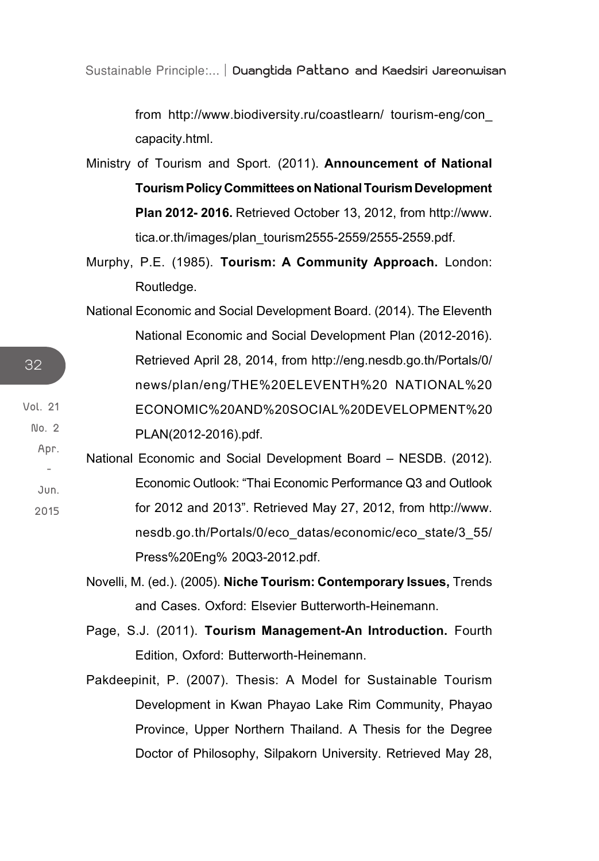from http://www.biodiversity.ru/coastlearn/ tourism-eng/con\_ capacity.html.

- Ministry of Tourism and Sport. (2011). **Announcement of National Tourism Policy Committees on National Tourism Development Plan 2012- 2016.** Retrieved October 13, 2012, from http://www. tica.or.th/images/plan\_tourism2555-2559/2555-2559.pdf.
- Murphy, P.E. (1985). **Tourism: A Community Approach.** London: Routledge.
- National Economic and Social Development Board. (2014). The Eleventh National Economic and Social Development Plan (2012-2016). Retrieved April 28, 2014, from http://eng.nesdb.go.th/Portals/0/ news/plan/eng/THE%20ELEVENTH%20 NATIONAL%20 ECONOMIC%20AND%20SOCIAL%20DEVELOPMENT%20 PLAN(2012-2016).pdf.
- **Jun. 2015** National Economic and Social Development Board – NESDB. (2012). Economic Outlook: "Thai Economic Performance Q3 and Outlook for 2012 and 2013". Retrieved May 27, 2012, from http://www. nesdb.go.th/Portals/0/eco\_datas/economic/eco\_state/3\_55/ Press%20Eng% 20Q3-2012.pdf.

Novelli, M. (ed.). (2005). **Niche Tourism: Contemporary Issues,** Trends and Cases. Oxford: Elsevier Butterworth-Heinemann.

Page, S.J. (2011). **Tourism Management-An Introduction.** Fourth Edition, Oxford: Butterworth-Heinemann.

Pakdeepinit, P. (2007). Thesis: A Model for Sustainable Tourism Development in Kwan Phayao Lake Rim Community, Phayao Province, Upper Northern Thailand. A Thesis for the Degree Doctor of Philosophy, Silpakorn University. Retrieved May 28,

32

**Vol. 21 No. 2 Apr.**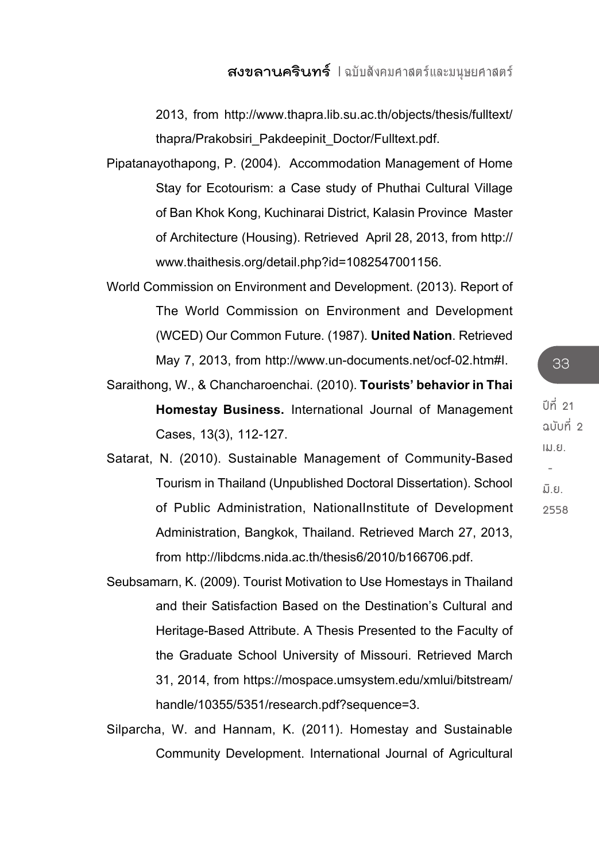2013, from http://www.thapra.lib.su.ac.th/objects/thesis/fulltext/ thapra/Prakobsiri\_Pakdeepinit\_Doctor/Fulltext.pdf.

- Pipatanayothapong, P. (2004). Accommodation Management of Home Stay for Ecotourism: a Case study of Phuthai Cultural Village of Ban Khok Kong, Kuchinarai District, Kalasin Province Master of Architecture (Housing). Retrieved April 28, 2013, from http:// www.thaithesis.org/detail.php?id=1082547001156.
- World Commission on Environment and Development. (2013). Report of The World Commission on Environment and Development (WCED) Our Common Future. (1987). **United Nation**. Retrieved May 7, 2013, from http://www.un-documents.net/ocf-02.htm#I.
- Saraithong, W., & Chancharoenchai. (2010). **Tourists' behavior in Thai Homestay Business.** International Journal of Management Cases, 13(3), 112-127.
- Satarat, N. (2010). Sustainable Management of Community-Based Tourism in Thailand (Unpublished Doctoral Dissertation). School of Public Administration, NationalInstitute of Development Administration, Bangkok, Thailand. Retrieved March 27, 2013, from http://libdcms.nida.ac.th/thesis6/2010/b166706.pdf.
- Seubsamarn, K. (2009). Tourist Motivation to Use Homestays in Thailand and their Satisfaction Based on the Destination's Cultural and Heritage-Based Attribute. A Thesis Presented to the Faculty of the Graduate School University of Missouri. Retrieved March 31, 2014, from https://mospace.umsystem.edu/xmlui/bitstream/ handle/10355/5351/research.pdf?sequence=3.
- Silparcha, W. and Hannam, K. (2011). Homestay and Sustainable Community Development. International Journal of Agricultural

**ปีที่ 21 ฉบับที่ 2 เม.ย. - มิ.ย. 2558**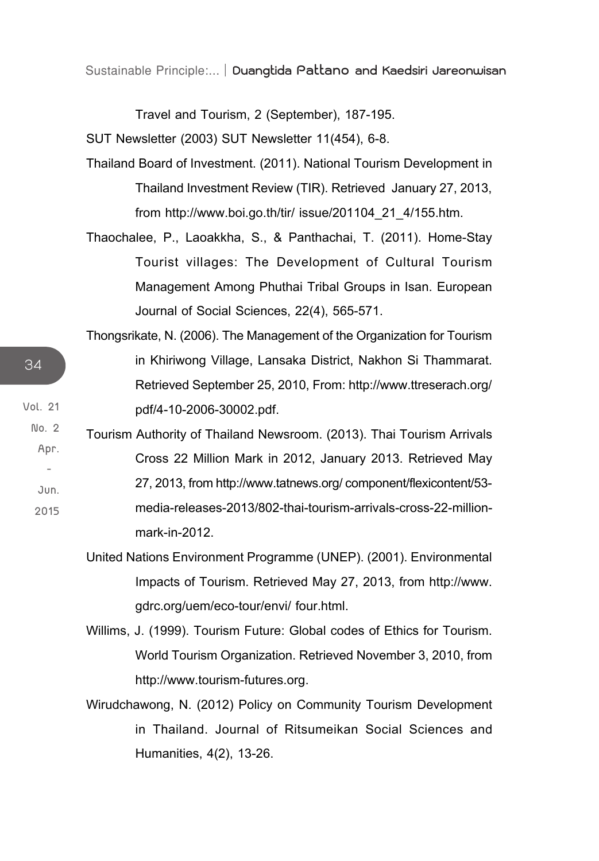Travel and Tourism, 2 (September), 187-195.

SUT Newsletter (2003) SUT Newsletter 11(454), 6-8.

- Thailand Board of Investment. (2011). National Tourism Development in Thailand Investment Review (TIR). Retrieved January 27, 2013, from http://www.boi.go.th/tir/ issue/201104\_21\_4/155.htm.
- Thaochalee, P., Laoakkha, S., & Panthachai, T. (2011). Home-Stay Tourist villages: The Development of Cultural Tourism Management Among Phuthai Tribal Groups in Isan. European Journal of Social Sciences, 22(4), 565-571.
- Thongsrikate, N. (2006). The Management of the Organization for Tourism in Khiriwong Village, Lansaka District, Nakhon Si Thammarat. Retrieved September 25, 2010, From: http://www.ttreserach.org/ pdf/4-10-2006-30002.pdf.
- **2015** Tourism Authority of Thailand Newsroom. (2013). Thai Tourism Arrivals Cross 22 Million Mark in 2012, January 2013. Retrieved May 27, 2013, from http://www.tatnews.org/ component/flexicontent/53 media-releases-2013/802-thai-tourism-arrivals-cross-22-millionmark-in-2012.
	- United Nations Environment Programme (UNEP). (2001). Environmental Impacts of Tourism. Retrieved May 27, 2013, from http://www. gdrc.org/uem/eco-tour/envi/ four.html.
	- Willims, J. (1999). Tourism Future: Global codes of Ethics for Tourism. World Tourism Organization. Retrieved November 3, 2010, from http://www.tourism-futures.org.
	- Wirudchawong, N. (2012) Policy on Community Tourism Development in Thailand. Journal of Ritsumeikan Social Sciences and Humanities, 4(2), 13-26.

34

**Vol. 21 No. 2 Apr. - Jun.**